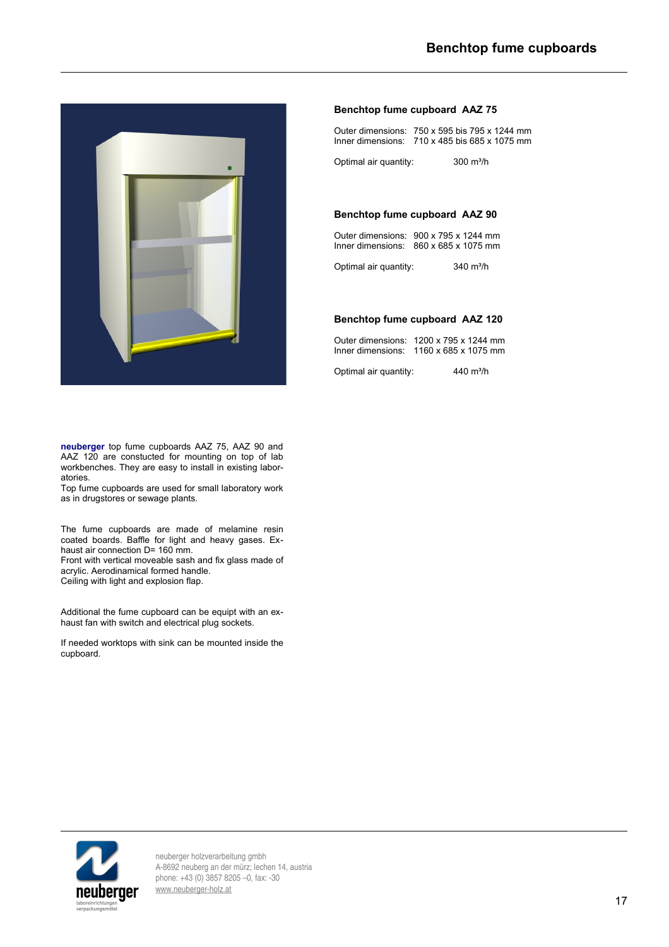

**Benchtop fume cupboard AAZ 75** Outer dimensions: 750 x 595 bis 795 x 1244 mm

Inner dimensions: 710 x 485 bis 685 x 1075 mm

Optimal air quantity: 300 m<sup>3</sup>/h

## **Benchtop fume cupboard AAZ 90**

Outer dimensions: 900 x 795 x 1244 mm Inner dimensions: 860 x 685 x 1075 mm

Optimal air quantity: 340 m<sup>3</sup>/h

# **Benchtop fume cupboard AAZ 120**

| Outer dimensions: 1200 x 795 x 1244 mm             |
|----------------------------------------------------|
| Inner dimensions: $1160 \times 685 \times 1075$ mm |

Optimal air quantity: 440 m<sup>3</sup>/h

**neuberger** top fume cupboards AAZ 75, AAZ 90 and AAZ 120 are constucted for mounting on top of lab workbenches. They are easy to install in existing laboratories.

Top fume cupboards are used for small laboratory work as in drugstores or sewage plants.

The fume cupboards are made of melamine resin coated boards. Baffle for light and heavy gases. Exhaust air connection D= 160 mm.

Front with vertical moveable sash and fix glass made of acrylic. Aerodinamical formed handle. Ceiling with light and explosion flap.

Additional the fume cupboard can be equipt with an exhaust fan with switch and electrical plug sockets.

If needed worktops with sink can be mounted inside the cupboard.



neuberger holzverarbeitung gmbh A-8692 neuberg an der mürz; lechen 14, austria phone: +43 (0) 3857 8205 –0, fax: -30 [www.neuberger-holz.at](http://www.neuberger-holz.at/)